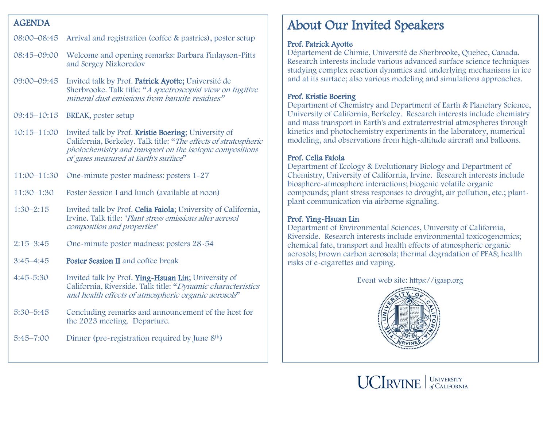#### AGENDA

## 08:00–08:45 Arrival and registration (coffee & pastries), poster setup

- 08:45–09:00 Welcome and opening remarks: Barbara Finlayson-Pitts and Sergey Nizkorodov
- 09:00–09:45 Invited talk by Prof. Patrick Ayotte; Université de Sherbrooke. Talk title: "A spectroscopist view on fugitive mineral dust emissions from bauxite residues"
- 09:45–10:15 BREAK, poster setup
- 10:15–11:00 Invited talk by Prof. Kristie Boering; University of California, Berkeley. Talk title: "The effects of stratospheric photochemistry and transport on the isotopic compositions of gases measured at Earth's surface"
- 11:00–11:30 One-minute poster madness: posters 1-27
- 11:30–1:30 Poster Session I and lunch (available at noon)
- 1:30–2:15 Invited talk by Prof. Celia Faiola; University of California, Irvine. Talk title: "Plant stress emissions alter aerosol composition and properties"
- 2:15–3:45 One-minute poster madness: posters 28-54
- 3:45–4:45 Poster Session II and coffee break
- 4:45-5:30 Invited talk by Prof. Ying-Hsuan Lin; University of California, Riverside. Talk title: "Dynamic characteristics and health effects of atmospheric organic aerosols"
- 5:30–5:45 Concluding remarks and announcement of the host for the 2023 meeting. Departure.
- 5:45–7:00 Dinner (pre-registration required by June 8th)

# About Our Invited Speakers

#### Prof. Patrick Ayotte

Département de Chimie, Université de Sherbrooke, Quebec, Canada. Research interests include various advanced surface science techniques studying complex reaction dynamics and underlying mechanisms in ice and at its surface; also various modeling and simulations approaches.

#### Prof. Kristie Boering

Department of Chemistry and Department of Earth & Planetary Science, University of California, Berkeley. Research interests include chemistry and mass transport in Earth's and extraterrestrial atmospheres through kinetics and photochemistry experiments in the laboratory, numerical modeling, and observations from high-altitude aircraft and balloons.

#### Prof. Celia Faiola

Department of Ecology & Evolutionary Biology and Department of Chemistry, University of California, Irvine. Research interests include biosphere-atmosphere interactions; biogenic volatile organic compounds; plant stress responses to drought, air pollution, etc.; plantplant communication via airborne signaling.

#### Prof. Ying-Hsuan Lin

Department of Environmental Sciences, University of California, Riverside. Research interests include environmental toxicogenomics; chemical fate, transport and health effects of atmospheric organic aerosols; brown carbon aerosols; thermal degradation of PFAS; health risks of e-cigarettes and vaping.

Event web site: [https://igasp.org](https://igasp.org/)



 $\text{UCIRVINE}$   $|$  UNIVERSITY